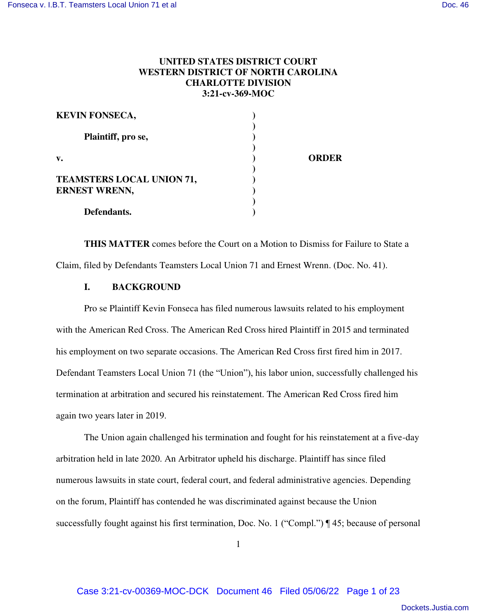# **UNITED STATES DISTRICT COURT WESTERN DISTRICT OF NORTH CAROLINA CHARLOTTE DIVISION 3:21-cv-369-MOC**

| <b>KEVIN FONSECA,</b>            |              |
|----------------------------------|--------------|
| Plaintiff, pro se,               |              |
| $V_{\bullet}$                    | <b>ORDER</b> |
| <b>TEAMSTERS LOCAL UNION 71,</b> |              |
| <b>ERNEST WRENN,</b>             |              |
| Defendants.                      |              |

**THIS MATTER** comes before the Court on a Motion to Dismiss for Failure to State a Claim, filed by Defendants Teamsters Local Union 71 and Ernest Wrenn. (Doc. No. 41).

## **I. BACKGROUND**

Pro se Plaintiff Kevin Fonseca has filed numerous lawsuits related to his employment with the American Red Cross. The American Red Cross hired Plaintiff in 2015 and terminated his employment on two separate occasions. The American Red Cross first fired him in 2017. Defendant Teamsters Local Union 71 (the "Union"), his labor union, successfully challenged his termination at arbitration and secured his reinstatement. The American Red Cross fired him again two years later in 2019.

The Union again challenged his termination and fought for his reinstatement at a five-day arbitration held in late 2020. An Arbitrator upheld his discharge. Plaintiff has since filed numerous lawsuits in state court, federal court, and federal administrative agencies. Depending on the forum, Plaintiff has contended he was discriminated against because the Union successfully fought against his first termination, Doc. No. 1 ("Compl.") ¶ 45; because of personal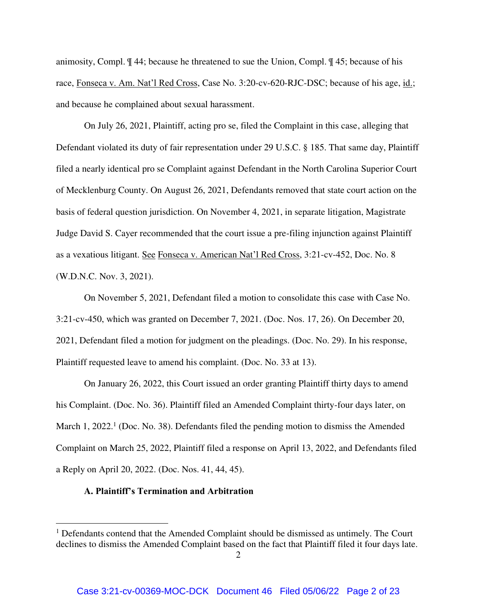animosity, Compl. ¶ 44; because he threatened to sue the Union, Compl. ¶ 45; because of his race, Fonseca v. Am. Nat'l Red Cross, Case No. 3:20-cv-620-RJC-DSC; because of his age, id.; and because he complained about sexual harassment.

On July 26, 2021, Plaintiff, acting pro se, filed the Complaint in this case, alleging that Defendant violated its duty of fair representation under 29 U.S.C. § 185. That same day, Plaintiff filed a nearly identical pro se Complaint against Defendant in the North Carolina Superior Court of Mecklenburg County. On August 26, 2021, Defendants removed that state court action on the basis of federal question jurisdiction. On November 4, 2021, in separate litigation, Magistrate Judge David S. Cayer recommended that the court issue a pre-filing injunction against Plaintiff as a vexatious litigant. See Fonseca v. American Nat'l Red Cross, 3:21-cv-452, Doc. No. 8 (W.D.N.C. Nov. 3, 2021).

On November 5, 2021, Defendant filed a motion to consolidate this case with Case No. 3:21-cv-450, which was granted on December 7, 2021. (Doc. Nos. 17, 26). On December 20, 2021, Defendant filed a motion for judgment on the pleadings. (Doc. No. 29). In his response, Plaintiff requested leave to amend his complaint. (Doc. No. 33 at 13).

On January 26, 2022, this Court issued an order granting Plaintiff thirty days to amend his Complaint. (Doc. No. 36). Plaintiff filed an Amended Complaint thirty-four days later, on March 1, 2022.<sup>1</sup> (Doc. No. 38). Defendants filed the pending motion to dismiss the Amended Complaint on March 25, 2022, Plaintiff filed a response on April 13, 2022, and Defendants filed a Reply on April 20, 2022. (Doc. Nos. 41, 44, 45).

### **A. Plaintiff's Termination and Arbitration**

 $\overline{a}$ 

<sup>&</sup>lt;sup>1</sup> Defendants contend that the Amended Complaint should be dismissed as untimely. The Court declines to dismiss the Amended Complaint based on the fact that Plaintiff filed it four days late.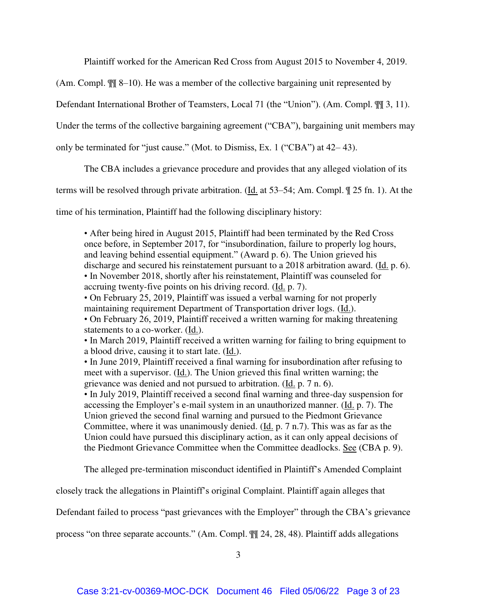Plaintiff worked for the American Red Cross from August 2015 to November 4, 2019.

(Am. Compl. ¶¶ 8–10). He was a member of the collective bargaining unit represented by

Defendant International Brother of Teamsters, Local 71 (the "Union"). (Am. Compl. ¶¶ 3, 11).

Under the terms of the collective bargaining agreement ("CBA"), bargaining unit members may

only be terminated for "just cause." (Mot. to Dismiss, Ex. 1 ("CBA") at 42– 43).

The CBA includes a grievance procedure and provides that any alleged violation of its

terms will be resolved through private arbitration. (Id. at 53–54; Am. Compl.  $\parallel$  25 fn. 1). At the

time of his termination, Plaintiff had the following disciplinary history:

• After being hired in August 2015, Plaintiff had been terminated by the Red Cross once before, in September 2017, for "insubordination, failure to properly log hours, and leaving behind essential equipment." (Award p. 6). The Union grieved his discharge and secured his reinstatement pursuant to a 2018 arbitration award. (Id. p. 6). • In November 2018, shortly after his reinstatement, Plaintiff was counseled for accruing twenty-five points on his driving record. (Id. p. 7).

• On February 25, 2019, Plaintiff was issued a verbal warning for not properly maintaining requirement Department of Transportation driver logs. (Id.).

• On February 26, 2019, Plaintiff received a written warning for making threatening statements to a co-worker. (Id.).

• In March 2019, Plaintiff received a written warning for failing to bring equipment to a blood drive, causing it to start late. (Id.).

• In June 2019, Plaintiff received a final warning for insubordination after refusing to meet with a supervisor. (Id.). The Union grieved this final written warning; the grievance was denied and not pursued to arbitration. (Id. p. 7 n. 6).

• In July 2019, Plaintiff received a second final warning and three-day suspension for accessing the Employer's e-mail system in an unauthorized manner. (Id. p. 7). The Union grieved the second final warning and pursued to the Piedmont Grievance Committee, where it was unanimously denied.  $(\underline{Id}, p. 7 n.7)$ . This was as far as the Union could have pursued this disciplinary action, as it can only appeal decisions of the Piedmont Grievance Committee when the Committee deadlocks. See (CBA p. 9).

The alleged pre-termination misconduct identified in Plaintiff's Amended Complaint

closely track the allegations in Plaintiff's original Complaint. Plaintiff again alleges that

Defendant failed to process "past grievances with the Employer" through the CBA's grievance

process "on three separate accounts." (Am. Compl. ¶¶ 24, 28, 48). Plaintiff adds allegations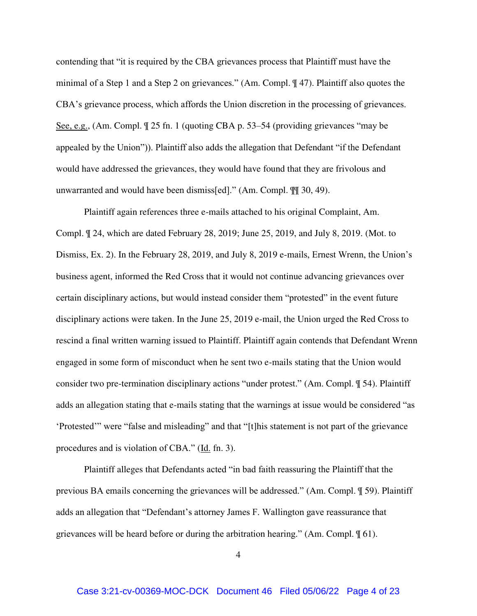contending that "it is required by the CBA grievances process that Plaintiff must have the minimal of a Step 1 and a Step 2 on grievances." (Am. Compl. ¶ 47). Plaintiff also quotes the CBA's grievance process, which affords the Union discretion in the processing of grievances. See, e.g., (Am. Compl. ¶ 25 fn. 1 (quoting CBA p. 53–54 (providing grievances "may be appealed by the Union")). Plaintiff also adds the allegation that Defendant "if the Defendant would have addressed the grievances, they would have found that they are frivolous and unwarranted and would have been dismiss[ed]." (Am. Compl. ¶¶ 30, 49).

Plaintiff again references three e-mails attached to his original Complaint, Am. Compl. ¶ 24, which are dated February 28, 2019; June 25, 2019, and July 8, 2019. (Mot. to Dismiss, Ex. 2). In the February 28, 2019, and July 8, 2019 e-mails, Ernest Wrenn, the Union's business agent, informed the Red Cross that it would not continue advancing grievances over certain disciplinary actions, but would instead consider them "protested" in the event future disciplinary actions were taken. In the June 25, 2019 e-mail, the Union urged the Red Cross to rescind a final written warning issued to Plaintiff. Plaintiff again contends that Defendant Wrenn engaged in some form of misconduct when he sent two e-mails stating that the Union would consider two pre-termination disciplinary actions "under protest." (Am. Compl. ¶ 54). Plaintiff adds an allegation stating that e-mails stating that the warnings at issue would be considered "as 'Protested'" were "false and misleading" and that "[t]his statement is not part of the grievance procedures and is violation of CBA." (Id. fn. 3).

Plaintiff alleges that Defendants acted "in bad faith reassuring the Plaintiff that the previous BA emails concerning the grievances will be addressed." (Am. Compl. ¶ 59). Plaintiff adds an allegation that "Defendant's attorney James F. Wallington gave reassurance that grievances will be heard before or during the arbitration hearing." (Am. Compl. ¶ 61).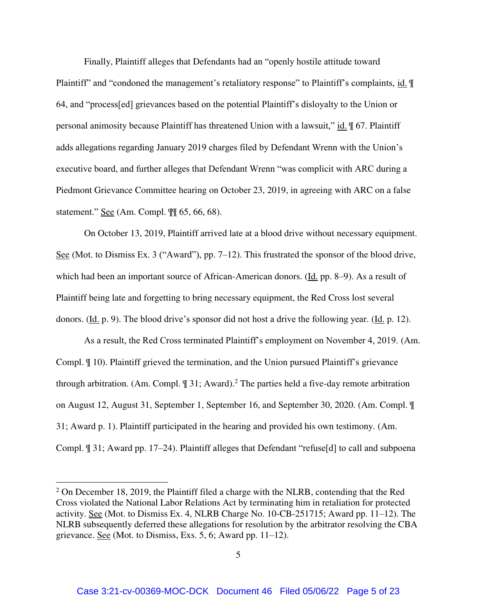Finally, Plaintiff alleges that Defendants had an "openly hostile attitude toward Plaintiff" and "condoned the management's retaliatory response" to Plaintiff's complaints, id.  $\P$ 64, and "process[ed] grievances based on the potential Plaintiff's disloyalty to the Union or personal animosity because Plaintiff has threatened Union with a lawsuit," id.  $\parallel$  67. Plaintiff adds allegations regarding January 2019 charges filed by Defendant Wrenn with the Union's executive board, and further alleges that Defendant Wrenn "was complicit with ARC during a Piedmont Grievance Committee hearing on October 23, 2019, in agreeing with ARC on a false statement." See (Am. Compl. ¶¶ 65, 66, 68).

On October 13, 2019, Plaintiff arrived late at a blood drive without necessary equipment. See (Mot. to Dismiss Ex. 3 ("Award"), pp. 7–12). This frustrated the sponsor of the blood drive, which had been an important source of African-American donors. (Id. pp. 8–9). As a result of Plaintiff being late and forgetting to bring necessary equipment, the Red Cross lost several donors. (Id. p. 9). The blood drive's sponsor did not host a drive the following year. (Id. p. 12).

As a result, the Red Cross terminated Plaintiff's employment on November 4, 2019. (Am. Compl. ¶ 10). Plaintiff grieved the termination, and the Union pursued Plaintiff's grievance through arbitration. (Am. Compl.  $\sqrt{ }$  31; Award).<sup>2</sup> The parties held a five-day remote arbitration on August 12, August 31, September 1, September 16, and September 30, 2020. (Am. Compl. ¶ 31; Award p. 1). Plaintiff participated in the hearing and provided his own testimony. (Am. Compl. ¶ 31; Award pp. 17–24). Plaintiff alleges that Defendant "refuse[d] to call and subpoena

 $\overline{a}$ 

 $2$  On December 18, 2019, the Plaintiff filed a charge with the NLRB, contending that the Red Cross violated the National Labor Relations Act by terminating him in retaliation for protected activity. See (Mot. to Dismiss Ex. 4, NLRB Charge No. 10-CB-251715; Award pp. 11–12). The NLRB subsequently deferred these allegations for resolution by the arbitrator resolving the CBA grievance. See (Mot. to Dismiss, Exs. 5, 6; Award pp. 11–12).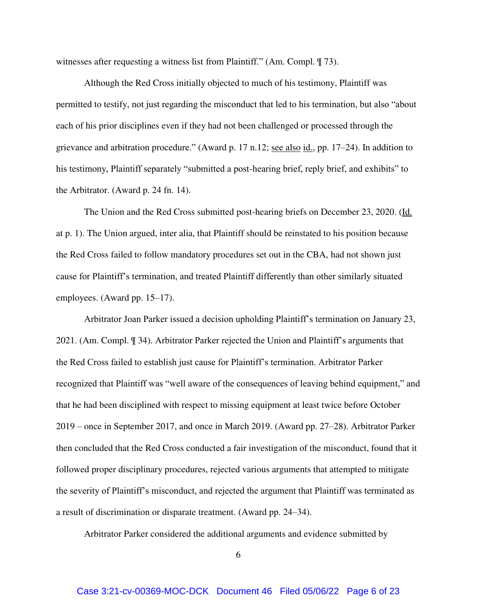witnesses after requesting a witness list from Plaintiff." (Am. Compl. ¶ 73).

Although the Red Cross initially objected to much of his testimony, Plaintiff was permitted to testify, not just regarding the misconduct that led to his termination, but also "about each of his prior disciplines even if they had not been challenged or processed through the grievance and arbitration procedure." (Award p. 17 n.12; see also id., pp. 17–24). In addition to his testimony, Plaintiff separately "submitted a post-hearing brief, reply brief, and exhibits" to the Arbitrator. (Award p. 24 fn. 14).

The Union and the Red Cross submitted post-hearing briefs on December 23, 2020. (Id. at p. 1). The Union argued, inter alia, that Plaintiff should be reinstated to his position because the Red Cross failed to follow mandatory procedures set out in the CBA, had not shown just cause for Plaintiff's termination, and treated Plaintiff differently than other similarly situated employees. (Award pp. 15–17).

Arbitrator Joan Parker issued a decision upholding Plaintiff's termination on January 23, 2021. (Am. Compl. ¶ 34). Arbitrator Parker rejected the Union and Plaintiff's arguments that the Red Cross failed to establish just cause for Plaintiff's termination. Arbitrator Parker recognized that Plaintiff was "well aware of the consequences of leaving behind equipment," and that he had been disciplined with respect to missing equipment at least twice before October 2019 – once in September 2017, and once in March 2019. (Award pp. 27–28). Arbitrator Parker then concluded that the Red Cross conducted a fair investigation of the misconduct, found that it followed proper disciplinary procedures, rejected various arguments that attempted to mitigate the severity of Plaintiff's misconduct, and rejected the argument that Plaintiff was terminated as a result of discrimination or disparate treatment. (Award pp. 24–34).

Arbitrator Parker considered the additional arguments and evidence submitted by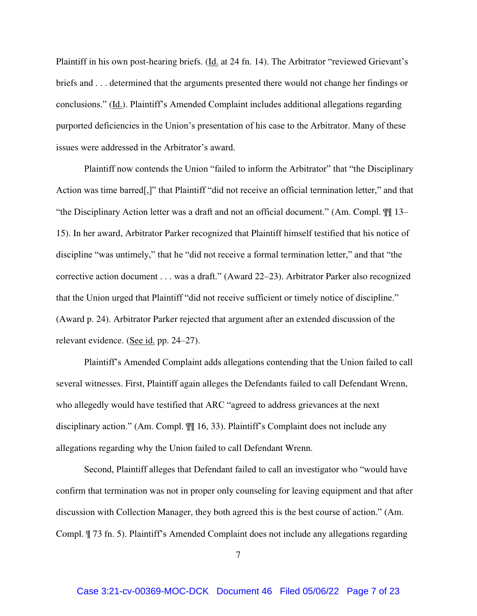Plaintiff in his own post-hearing briefs. (Id. at 24 fn. 14). The Arbitrator "reviewed Grievant's briefs and . . . determined that the arguments presented there would not change her findings or conclusions." (Id.). Plaintiff's Amended Complaint includes additional allegations regarding purported deficiencies in the Union's presentation of his case to the Arbitrator. Many of these issues were addressed in the Arbitrator's award.

Plaintiff now contends the Union "failed to inform the Arbitrator" that "the Disciplinary Action was time barred[,]" that Plaintiff "did not receive an official termination letter," and that "the Disciplinary Action letter was a draft and not an official document." (Am. Compl. ¶¶ 13– 15). In her award, Arbitrator Parker recognized that Plaintiff himself testified that his notice of discipline "was untimely," that he "did not receive a formal termination letter," and that "the corrective action document . . . was a draft." (Award 22–23). Arbitrator Parker also recognized that the Union urged that Plaintiff "did not receive sufficient or timely notice of discipline." (Award p. 24). Arbitrator Parker rejected that argument after an extended discussion of the relevant evidence. (See id. pp. 24–27).

Plaintiff's Amended Complaint adds allegations contending that the Union failed to call several witnesses. First, Plaintiff again alleges the Defendants failed to call Defendant Wrenn, who allegedly would have testified that ARC "agreed to address grievances at the next disciplinary action." (Am. Compl. ¶¶ 16, 33). Plaintiff's Complaint does not include any allegations regarding why the Union failed to call Defendant Wrenn.

Second, Plaintiff alleges that Defendant failed to call an investigator who "would have confirm that termination was not in proper only counseling for leaving equipment and that after discussion with Collection Manager, they both agreed this is the best course of action." (Am. Compl. ¶ 73 fn. 5). Plaintiff's Amended Complaint does not include any allegations regarding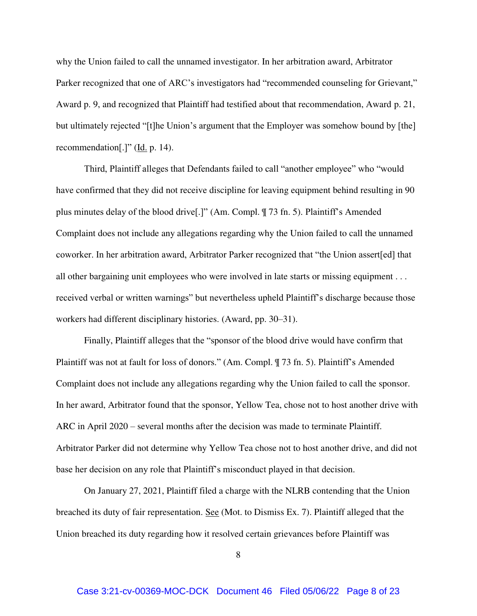why the Union failed to call the unnamed investigator. In her arbitration award, Arbitrator Parker recognized that one of ARC's investigators had "recommended counseling for Grievant," Award p. 9, and recognized that Plaintiff had testified about that recommendation, Award p. 21, but ultimately rejected "[t]he Union's argument that the Employer was somehow bound by [the] recommendation[.]" (Id. p. 14).

Third, Plaintiff alleges that Defendants failed to call "another employee" who "would have confirmed that they did not receive discipline for leaving equipment behind resulting in 90 plus minutes delay of the blood drive[.]" (Am. Compl. ¶ 73 fn. 5). Plaintiff's Amended Complaint does not include any allegations regarding why the Union failed to call the unnamed coworker. In her arbitration award, Arbitrator Parker recognized that "the Union assert[ed] that all other bargaining unit employees who were involved in late starts or missing equipment . . . received verbal or written warnings" but nevertheless upheld Plaintiff's discharge because those workers had different disciplinary histories. (Award, pp. 30–31).

Finally, Plaintiff alleges that the "sponsor of the blood drive would have confirm that Plaintiff was not at fault for loss of donors." (Am. Compl. ¶ 73 fn. 5). Plaintiff's Amended Complaint does not include any allegations regarding why the Union failed to call the sponsor. In her award, Arbitrator found that the sponsor, Yellow Tea, chose not to host another drive with ARC in April 2020 – several months after the decision was made to terminate Plaintiff. Arbitrator Parker did not determine why Yellow Tea chose not to host another drive, and did not base her decision on any role that Plaintiff's misconduct played in that decision.

On January 27, 2021, Plaintiff filed a charge with the NLRB contending that the Union breached its duty of fair representation. See (Mot. to Dismiss Ex. 7). Plaintiff alleged that the Union breached its duty regarding how it resolved certain grievances before Plaintiff was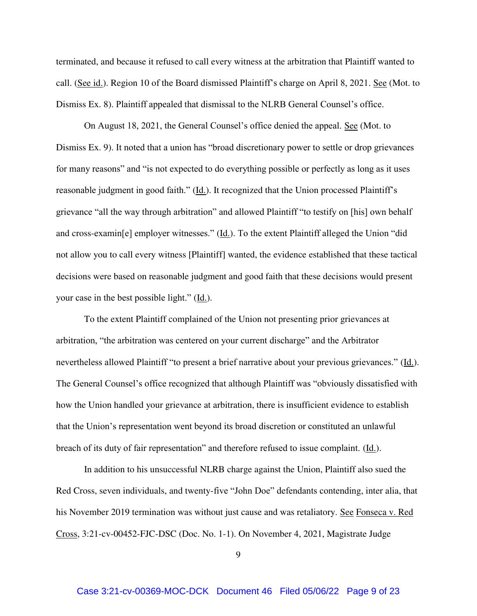terminated, and because it refused to call every witness at the arbitration that Plaintiff wanted to call. (See id.). Region 10 of the Board dismissed Plaintiff's charge on April 8, 2021. See (Mot. to Dismiss Ex. 8). Plaintiff appealed that dismissal to the NLRB General Counsel's office.

On August 18, 2021, the General Counsel's office denied the appeal. See (Mot. to Dismiss Ex. 9). It noted that a union has "broad discretionary power to settle or drop grievances for many reasons" and "is not expected to do everything possible or perfectly as long as it uses reasonable judgment in good faith." (Id.). It recognized that the Union processed Plaintiff's grievance "all the way through arbitration" and allowed Plaintiff "to testify on [his] own behalf and cross-examin[e] employer witnesses." (Id.). To the extent Plaintiff alleged the Union "did not allow you to call every witness [Plaintiff] wanted, the evidence established that these tactical decisions were based on reasonable judgment and good faith that these decisions would present your case in the best possible light." (Id.).

To the extent Plaintiff complained of the Union not presenting prior grievances at arbitration, "the arbitration was centered on your current discharge" and the Arbitrator nevertheless allowed Plaintiff "to present a brief narrative about your previous grievances." (Id.). The General Counsel's office recognized that although Plaintiff was "obviously dissatisfied with how the Union handled your grievance at arbitration, there is insufficient evidence to establish that the Union's representation went beyond its broad discretion or constituted an unlawful breach of its duty of fair representation" and therefore refused to issue complaint. (Id.).

In addition to his unsuccessful NLRB charge against the Union, Plaintiff also sued the Red Cross, seven individuals, and twenty-five "John Doe" defendants contending, inter alia, that his November 2019 termination was without just cause and was retaliatory. See Fonseca v. Red Cross, 3:21-cv-00452-FJC-DSC (Doc. No. 1-1). On November 4, 2021, Magistrate Judge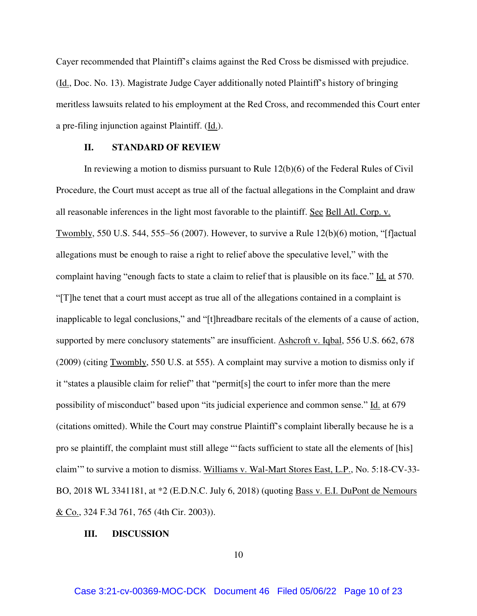Cayer recommended that Plaintiff's claims against the Red Cross be dismissed with prejudice. (Id., Doc. No. 13). Magistrate Judge Cayer additionally noted Plaintiff's history of bringing meritless lawsuits related to his employment at the Red Cross, and recommended this Court enter a pre-filing injunction against Plaintiff. (Id.).

# **II. STANDARD OF REVIEW**

In reviewing a motion to dismiss pursuant to Rule 12(b)(6) of the Federal Rules of Civil Procedure, the Court must accept as true all of the factual allegations in the Complaint and draw all reasonable inferences in the light most favorable to the plaintiff. See Bell Atl. Corp. v. Twombly, 550 U.S. 544, 555–56 (2007). However, to survive a Rule 12(b)(6) motion, "[f]actual allegations must be enough to raise a right to relief above the speculative level," with the complaint having "enough facts to state a claim to relief that is plausible on its face." Id. at 570. "[T]he tenet that a court must accept as true all of the allegations contained in a complaint is inapplicable to legal conclusions," and "[t]hreadbare recitals of the elements of a cause of action, supported by mere conclusory statements" are insufficient. Ashcroft v. Iqbal, 556 U.S. 662, 678 (2009) (citing Twombly, 550 U.S. at 555). A complaint may survive a motion to dismiss only if it "states a plausible claim for relief" that "permit[s] the court to infer more than the mere possibility of misconduct" based upon "its judicial experience and common sense." Id. at 679 (citations omitted). While the Court may construe Plaintiff's complaint liberally because he is a pro se plaintiff, the complaint must still allege "'facts sufficient to state all the elements of [his] claim'" to survive a motion to dismiss. Williams v. Wal-Mart Stores East, L.P., No. 5:18-CV-33- BO, 2018 WL 3341181, at \*2 (E.D.N.C. July 6, 2018) (quoting Bass v. E.I. DuPont de Nemours & Co., 324 F.3d 761, 765 (4th Cir. 2003)).

#### **III. DISCUSSION**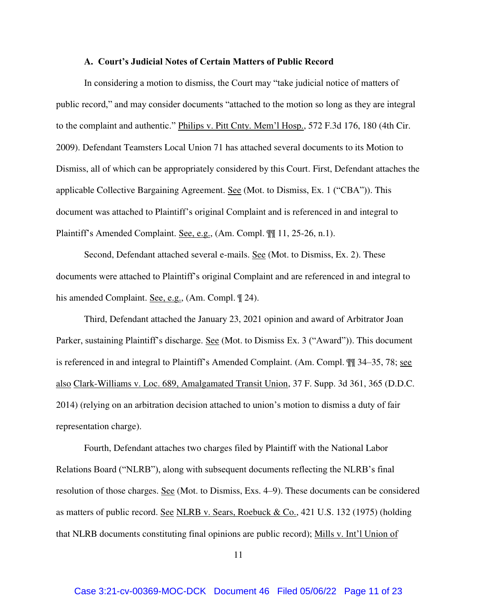#### **A. Court's Judicial Notes of Certain Matters of Public Record**

In considering a motion to dismiss, the Court may "take judicial notice of matters of public record," and may consider documents "attached to the motion so long as they are integral to the complaint and authentic." Philips v. Pitt Cnty. Mem'l Hosp., 572 F.3d 176, 180 (4th Cir. 2009). Defendant Teamsters Local Union 71 has attached several documents to its Motion to Dismiss, all of which can be appropriately considered by this Court. First, Defendant attaches the applicable Collective Bargaining Agreement. See (Mot. to Dismiss, Ex. 1 ("CBA")). This document was attached to Plaintiff's original Complaint and is referenced in and integral to Plaintiff's Amended Complaint. See, e.g., (Am. Compl.  $\P\P$  11, 25-26, n.1).

Second, Defendant attached several e-mails. See (Mot. to Dismiss, Ex. 2). These documents were attached to Plaintiff's original Complaint and are referenced in and integral to his amended Complaint. <u>See, e.g.,</u> (Am. Compl.  $\mathcal{Z}(4)$ ).

Third, Defendant attached the January 23, 2021 opinion and award of Arbitrator Joan Parker, sustaining Plaintiff's discharge. <u>See</u> (Mot. to Dismiss Ex. 3 ("Award")). This document is referenced in and integral to Plaintiff's Amended Complaint. (Am. Compl.  $\P$ ] 34–35, 78; see also Clark-Williams v. Loc. 689, Amalgamated Transit Union, 37 F. Supp. 3d 361, 365 (D.D.C. 2014) (relying on an arbitration decision attached to union's motion to dismiss a duty of fair representation charge).

Fourth, Defendant attaches two charges filed by Plaintiff with the National Labor Relations Board ("NLRB"), along with subsequent documents reflecting the NLRB's final resolution of those charges. See (Mot. to Dismiss, Exs. 4–9). These documents can be considered as matters of public record. See NLRB v. Sears, Roebuck & Co., 421 U.S. 132 (1975) (holding that NLRB documents constituting final opinions are public record); Mills v. Int'l Union of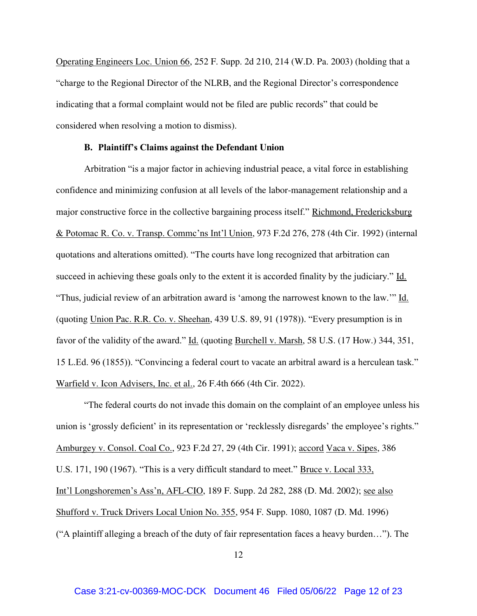Operating Engineers Loc. Union 66, 252 F. Supp. 2d 210, 214 (W.D. Pa. 2003) (holding that a "charge to the Regional Director of the NLRB, and the Regional Director's correspondence indicating that a formal complaint would not be filed are public records" that could be considered when resolving a motion to dismiss).

#### **B. Plaintiff's Claims against the Defendant Union**

Arbitration "is a major factor in achieving industrial peace, a vital force in establishing confidence and minimizing confusion at all levels of the labor-management relationship and a major constructive force in the collective bargaining process itself." Richmond, Fredericksburg & Potomac R. Co. v. Transp. Commc'ns Int'l Union, 973 F.2d 276, 278 (4th Cir. 1992) (internal quotations and alterations omitted). "The courts have long recognized that arbitration can succeed in achieving these goals only to the extent it is accorded finality by the judiciary." Id. "Thus, judicial review of an arbitration award is 'among the narrowest known to the law.'" Id. (quoting Union Pac. R.R. Co. v. Sheehan, 439 U.S. 89, 91 (1978)). "Every presumption is in favor of the validity of the award." Id. (quoting Burchell v. Marsh, 58 U.S. (17 How.) 344, 351, 15 L.Ed. 96 (1855)). "Convincing a federal court to vacate an arbitral award is a herculean task." Warfield v. Icon Advisers, Inc. et al., 26 F.4th 666 (4th Cir. 2022).

"The federal courts do not invade this domain on the complaint of an employee unless his union is 'grossly deficient' in its representation or 'recklessly disregards' the employee's rights." Amburgey v. Consol. Coal Co., 923 F.2d 27, 29 (4th Cir. 1991); accord Vaca v. Sipes, 386 U.S. 171, 190 (1967). "This is a very difficult standard to meet." <u>Bruce v. Local 333,</u> Int'l Longshoremen's Ass'n, AFL-CIO, 189 F. Supp. 2d 282, 288 (D. Md. 2002); see also Shufford v. Truck Drivers Local Union No. 355, 954 F. Supp. 1080, 1087 (D. Md. 1996) ("A plaintiff alleging a breach of the duty of fair representation faces a heavy burden…"). The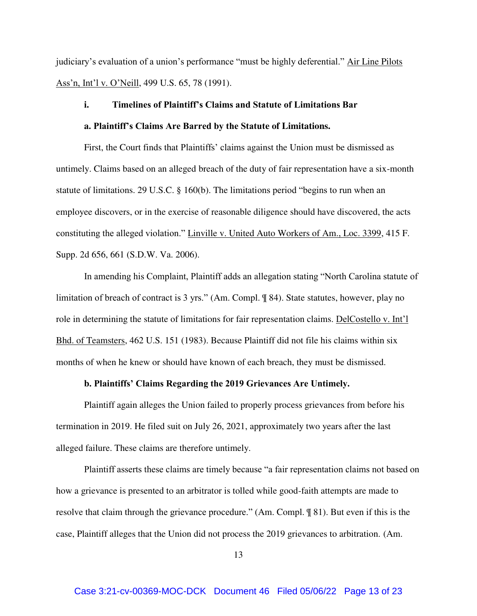judiciary's evaluation of a union's performance "must be highly deferential." Air Line Pilots Ass'n, Int'l v. O'Neill, 499 U.S. 65, 78 (1991).

# **i. Timelines of Plaintiff's Claims and Statute of Limitations Bar**

# **a. Plaintiff's Claims Are Barred by the Statute of Limitations.**

First, the Court finds that Plaintiffs' claims against the Union must be dismissed as untimely. Claims based on an alleged breach of the duty of fair representation have a six-month statute of limitations. 29 U.S.C. § 160(b). The limitations period "begins to run when an employee discovers, or in the exercise of reasonable diligence should have discovered, the acts constituting the alleged violation." Linville v. United Auto Workers of Am., Loc. 3399, 415 F. Supp. 2d 656, 661 (S.D.W. Va. 2006).

In amending his Complaint, Plaintiff adds an allegation stating "North Carolina statute of limitation of breach of contract is 3 yrs." (Am. Compl. ¶ 84). State statutes, however, play no role in determining the statute of limitations for fair representation claims. DelCostello v. Int'l Bhd. of Teamsters, 462 U.S. 151 (1983). Because Plaintiff did not file his claims within six months of when he knew or should have known of each breach, they must be dismissed.

#### **b. Plaintiffs' Claims Regarding the 2019 Grievances Are Untimely.**

Plaintiff again alleges the Union failed to properly process grievances from before his termination in 2019. He filed suit on July 26, 2021, approximately two years after the last alleged failure. These claims are therefore untimely.

Plaintiff asserts these claims are timely because "a fair representation claims not based on how a grievance is presented to an arbitrator is tolled while good-faith attempts are made to resolve that claim through the grievance procedure." (Am. Compl. ¶ 81). But even if this is the case, Plaintiff alleges that the Union did not process the 2019 grievances to arbitration. (Am.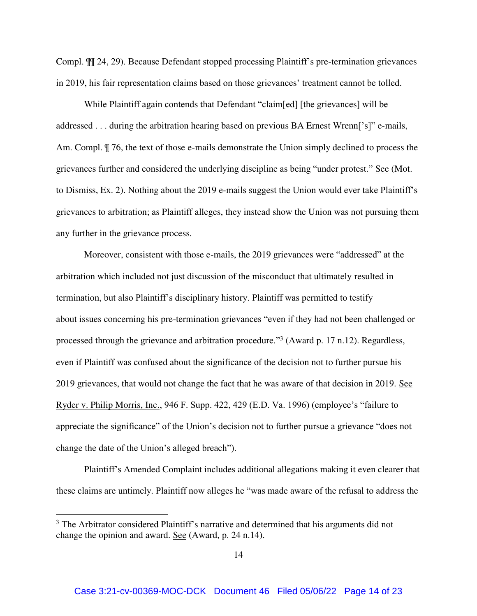Compl. ¶¶ 24, 29). Because Defendant stopped processing Plaintiff's pre-termination grievances in 2019, his fair representation claims based on those grievances' treatment cannot be tolled.

While Plaintiff again contends that Defendant "claim[ed] [the grievances] will be addressed . . . during the arbitration hearing based on previous BA Ernest Wrenn['s]" e-mails, Am. Compl. ¶ 76, the text of those e-mails demonstrate the Union simply declined to process the grievances further and considered the underlying discipline as being "under protest." See (Mot. to Dismiss, Ex. 2). Nothing about the 2019 e-mails suggest the Union would ever take Plaintiff's grievances to arbitration; as Plaintiff alleges, they instead show the Union was not pursuing them any further in the grievance process.

Moreover, consistent with those e-mails, the 2019 grievances were "addressed" at the arbitration which included not just discussion of the misconduct that ultimately resulted in termination, but also Plaintiff's disciplinary history. Plaintiff was permitted to testify about issues concerning his pre-termination grievances "even if they had not been challenged or processed through the grievance and arbitration procedure."<sup>3</sup> (Award p. 17 n.12). Regardless, even if Plaintiff was confused about the significance of the decision not to further pursue his 2019 grievances, that would not change the fact that he was aware of that decision in 2019. See Ryder v. Philip Morris, Inc., 946 F. Supp. 422, 429 (E.D. Va. 1996) (employee's "failure to appreciate the significance" of the Union's decision not to further pursue a grievance "does not change the date of the Union's alleged breach").

Plaintiff's Amended Complaint includes additional allegations making it even clearer that these claims are untimely. Plaintiff now alleges he "was made aware of the refusal to address the

 $\overline{a}$ 

<sup>&</sup>lt;sup>3</sup> The Arbitrator considered Plaintiff's narrative and determined that his arguments did not change the opinion and award. See (Award, p. 24 n.14).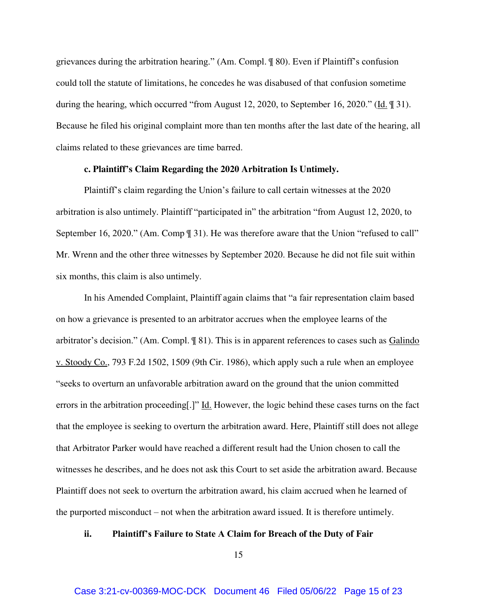grievances during the arbitration hearing." (Am. Compl. ¶ 80). Even if Plaintiff's confusion could toll the statute of limitations, he concedes he was disabused of that confusion sometime during the hearing, which occurred "from August 12, 2020, to September 16, 2020." (Id. ¶ 31). Because he filed his original complaint more than ten months after the last date of the hearing, all claims related to these grievances are time barred.

#### **c. Plaintiff's Claim Regarding the 2020 Arbitration Is Untimely.**

Plaintiff's claim regarding the Union's failure to call certain witnesses at the 2020 arbitration is also untimely. Plaintiff "participated in" the arbitration "from August 12, 2020, to September 16, 2020." (Am. Comp  $\parallel$  31). He was therefore aware that the Union "refused to call" Mr. Wrenn and the other three witnesses by September 2020. Because he did not file suit within six months, this claim is also untimely.

In his Amended Complaint, Plaintiff again claims that "a fair representation claim based on how a grievance is presented to an arbitrator accrues when the employee learns of the arbitrator's decision." (Am. Compl. ¶ 81). This is in apparent references to cases such as Galindo v. Stoody Co., 793 F.2d 1502, 1509 (9th Cir. 1986), which apply such a rule when an employee "seeks to overturn an unfavorable arbitration award on the ground that the union committed errors in the arbitration proceeding.]" Id. However, the logic behind these cases turns on the fact that the employee is seeking to overturn the arbitration award. Here, Plaintiff still does not allege that Arbitrator Parker would have reached a different result had the Union chosen to call the witnesses he describes, and he does not ask this Court to set aside the arbitration award. Because Plaintiff does not seek to overturn the arbitration award, his claim accrued when he learned of the purported misconduct – not when the arbitration award issued. It is therefore untimely.

### **ii. Plaintiff's Failure to State A Claim for Breach of the Duty of Fair**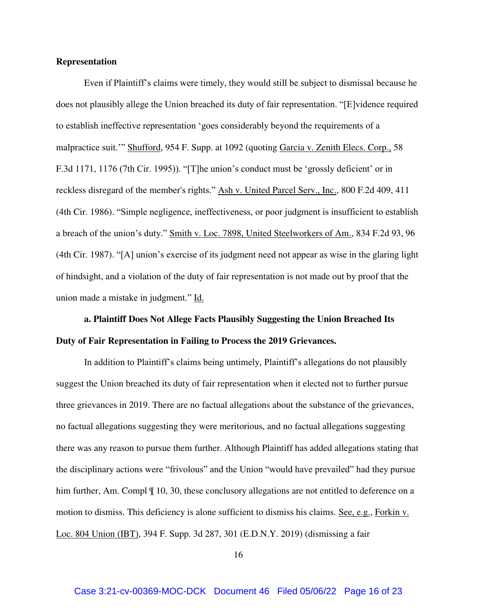#### **Representation**

Even if Plaintiff's claims were timely, they would still be subject to dismissal because he does not plausibly allege the Union breached its duty of fair representation. "[E]vidence required to establish ineffective representation 'goes considerably beyond the requirements of a malpractice suit.'" Shufford, 954 F. Supp. at 1092 (quoting Garcia v. Zenith Elecs. Corp., 58 F.3d 1171, 1176 (7th Cir. 1995)). "[T]he union's conduct must be 'grossly deficient' or in reckless disregard of the member's rights." Ash v. United Parcel Serv., Inc., 800 F.2d 409, 411 (4th Cir. 1986). "Simple negligence, ineffectiveness, or poor judgment is insufficient to establish a breach of the union's duty." Smith v. Loc. 7898, United Steelworkers of Am., 834 F.2d 93, 96 (4th Cir. 1987). "[A] union's exercise of its judgment need not appear as wise in the glaring light of hindsight, and a violation of the duty of fair representation is not made out by proof that the union made a mistake in judgment." Id.

**a. Plaintiff Does Not Allege Facts Plausibly Suggesting the Union Breached Its Duty of Fair Representation in Failing to Process the 2019 Grievances.** 

In addition to Plaintiff's claims being untimely, Plaintiff's allegations do not plausibly suggest the Union breached its duty of fair representation when it elected not to further pursue three grievances in 2019. There are no factual allegations about the substance of the grievances, no factual allegations suggesting they were meritorious, and no factual allegations suggesting there was any reason to pursue them further. Although Plaintiff has added allegations stating that the disciplinary actions were "frivolous" and the Union "would have prevailed" had they pursue him further, Am. Compl  $\P$  10, 30, these conclusory allegations are not entitled to deference on a motion to dismiss. This deficiency is alone sufficient to dismiss his claims. See, e.g., Forkin v. Loc. 804 Union (IBT), 394 F. Supp. 3d 287, 301 (E.D.N.Y. 2019) (dismissing a fair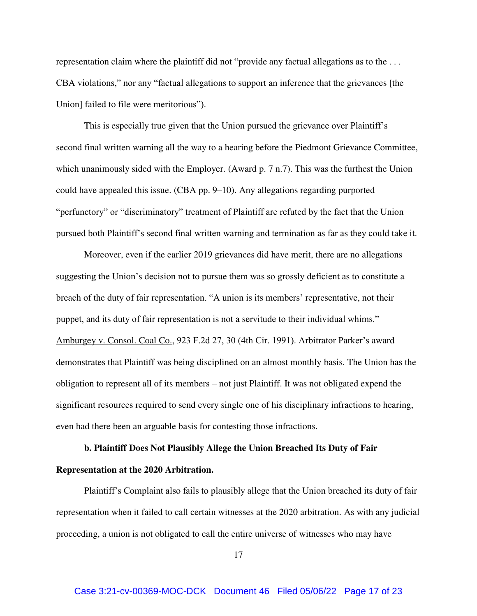representation claim where the plaintiff did not "provide any factual allegations as to the . . . CBA violations," nor any "factual allegations to support an inference that the grievances [the Union] failed to file were meritorious").

This is especially true given that the Union pursued the grievance over Plaintiff's second final written warning all the way to a hearing before the Piedmont Grievance Committee, which unanimously sided with the Employer. (Award p. 7 n.7). This was the furthest the Union could have appealed this issue. (CBA pp. 9–10). Any allegations regarding purported "perfunctory" or "discriminatory" treatment of Plaintiff are refuted by the fact that the Union pursued both Plaintiff's second final written warning and termination as far as they could take it.

Moreover, even if the earlier 2019 grievances did have merit, there are no allegations suggesting the Union's decision not to pursue them was so grossly deficient as to constitute a breach of the duty of fair representation. "A union is its members' representative, not their puppet, and its duty of fair representation is not a servitude to their individual whims." Amburgey v. Consol. Coal Co., 923 F.2d 27, 30 (4th Cir. 1991). Arbitrator Parker's award demonstrates that Plaintiff was being disciplined on an almost monthly basis. The Union has the obligation to represent all of its members – not just Plaintiff. It was not obligated expend the significant resources required to send every single one of his disciplinary infractions to hearing, even had there been an arguable basis for contesting those infractions.

# **b. Plaintiff Does Not Plausibly Allege the Union Breached Its Duty of Fair Representation at the 2020 Arbitration.**

Plaintiff's Complaint also fails to plausibly allege that the Union breached its duty of fair representation when it failed to call certain witnesses at the 2020 arbitration. As with any judicial proceeding, a union is not obligated to call the entire universe of witnesses who may have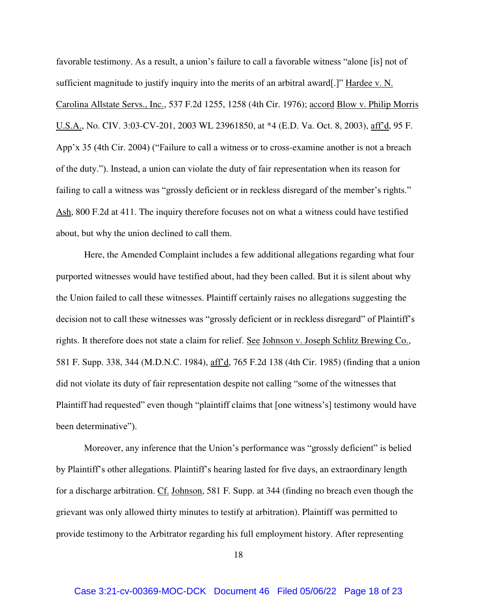favorable testimony. As a result, a union's failure to call a favorable witness "alone [is] not of sufficient magnitude to justify inquiry into the merits of an arbitral award[.]" Hardee v. N. Carolina Allstate Servs., Inc., 537 F.2d 1255, 1258 (4th Cir. 1976); accord Blow v. Philip Morris U.S.A., No. CIV. 3:03-CV-201, 2003 WL 23961850, at \*4 (E.D. Va. Oct. 8, 2003), aff'd, 95 F. App'x 35 (4th Cir. 2004) ("Failure to call a witness or to cross-examine another is not a breach of the duty."). Instead, a union can violate the duty of fair representation when its reason for failing to call a witness was "grossly deficient or in reckless disregard of the member's rights." Ash, 800 F.2d at 411. The inquiry therefore focuses not on what a witness could have testified about, but why the union declined to call them.

Here, the Amended Complaint includes a few additional allegations regarding what four purported witnesses would have testified about, had they been called. But it is silent about why the Union failed to call these witnesses. Plaintiff certainly raises no allegations suggesting the decision not to call these witnesses was "grossly deficient or in reckless disregard" of Plaintiff's rights. It therefore does not state a claim for relief. See Johnson v. Joseph Schlitz Brewing Co., 581 F. Supp. 338, 344 (M.D.N.C. 1984), aff'd, 765 F.2d 138 (4th Cir. 1985) (finding that a union did not violate its duty of fair representation despite not calling "some of the witnesses that Plaintiff had requested" even though "plaintiff claims that [one witness's] testimony would have been determinative").

Moreover, any inference that the Union's performance was "grossly deficient" is belied by Plaintiff's other allegations. Plaintiff's hearing lasted for five days, an extraordinary length for a discharge arbitration. Cf. Johnson, 581 F. Supp. at 344 (finding no breach even though the grievant was only allowed thirty minutes to testify at arbitration). Plaintiff was permitted to provide testimony to the Arbitrator regarding his full employment history. After representing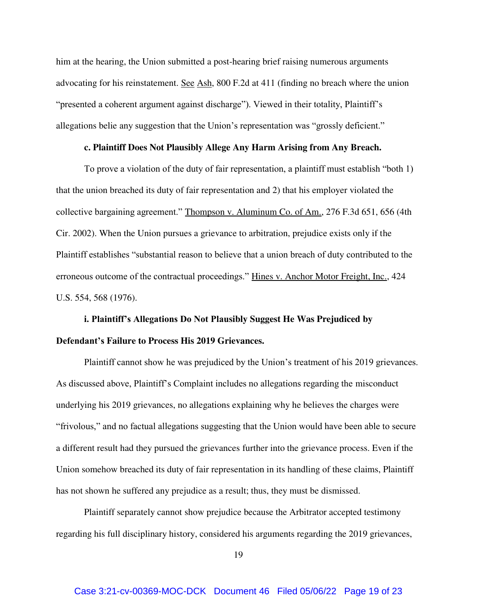him at the hearing, the Union submitted a post-hearing brief raising numerous arguments advocating for his reinstatement. See Ash, 800 F.2d at 411 (finding no breach where the union "presented a coherent argument against discharge"). Viewed in their totality, Plaintiff's allegations belie any suggestion that the Union's representation was "grossly deficient."

### **c. Plaintiff Does Not Plausibly Allege Any Harm Arising from Any Breach.**

To prove a violation of the duty of fair representation, a plaintiff must establish "both 1) that the union breached its duty of fair representation and 2) that his employer violated the collective bargaining agreement." Thompson v. Aluminum Co. of Am., 276 F.3d 651, 656 (4th Cir. 2002). When the Union pursues a grievance to arbitration, prejudice exists only if the Plaintiff establishes "substantial reason to believe that a union breach of duty contributed to the erroneous outcome of the contractual proceedings." Hines v. Anchor Motor Freight, Inc., 424 U.S. 554, 568 (1976).

# **i. Plaintiff's Allegations Do Not Plausibly Suggest He Was Prejudiced by Defendant's Failure to Process His 2019 Grievances.**

Plaintiff cannot show he was prejudiced by the Union's treatment of his 2019 grievances. As discussed above, Plaintiff's Complaint includes no allegations regarding the misconduct underlying his 2019 grievances, no allegations explaining why he believes the charges were "frivolous," and no factual allegations suggesting that the Union would have been able to secure a different result had they pursued the grievances further into the grievance process. Even if the Union somehow breached its duty of fair representation in its handling of these claims, Plaintiff has not shown he suffered any prejudice as a result; thus, they must be dismissed.

Plaintiff separately cannot show prejudice because the Arbitrator accepted testimony regarding his full disciplinary history, considered his arguments regarding the 2019 grievances,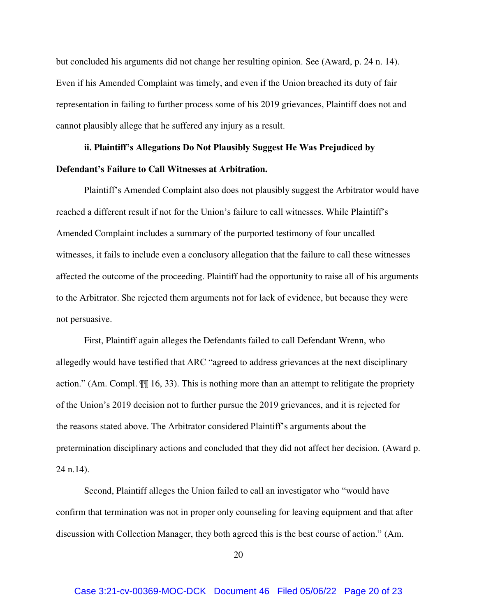but concluded his arguments did not change her resulting opinion. See (Award, p. 24 n. 14). Even if his Amended Complaint was timely, and even if the Union breached its duty of fair representation in failing to further process some of his 2019 grievances, Plaintiff does not and cannot plausibly allege that he suffered any injury as a result.

# **ii. Plaintiff's Allegations Do Not Plausibly Suggest He Was Prejudiced by Defendant's Failure to Call Witnesses at Arbitration.**

Plaintiff's Amended Complaint also does not plausibly suggest the Arbitrator would have reached a different result if not for the Union's failure to call witnesses. While Plaintiff's Amended Complaint includes a summary of the purported testimony of four uncalled witnesses, it fails to include even a conclusory allegation that the failure to call these witnesses affected the outcome of the proceeding. Plaintiff had the opportunity to raise all of his arguments to the Arbitrator. She rejected them arguments not for lack of evidence, but because they were not persuasive.

First, Plaintiff again alleges the Defendants failed to call Defendant Wrenn, who allegedly would have testified that ARC "agreed to address grievances at the next disciplinary action." (Am. Compl. ¶¶ 16, 33). This is nothing more than an attempt to relitigate the propriety of the Union's 2019 decision not to further pursue the 2019 grievances, and it is rejected for the reasons stated above. The Arbitrator considered Plaintiff's arguments about the pretermination disciplinary actions and concluded that they did not affect her decision. (Award p. 24 n.14).

Second, Plaintiff alleges the Union failed to call an investigator who "would have confirm that termination was not in proper only counseling for leaving equipment and that after discussion with Collection Manager, they both agreed this is the best course of action." (Am.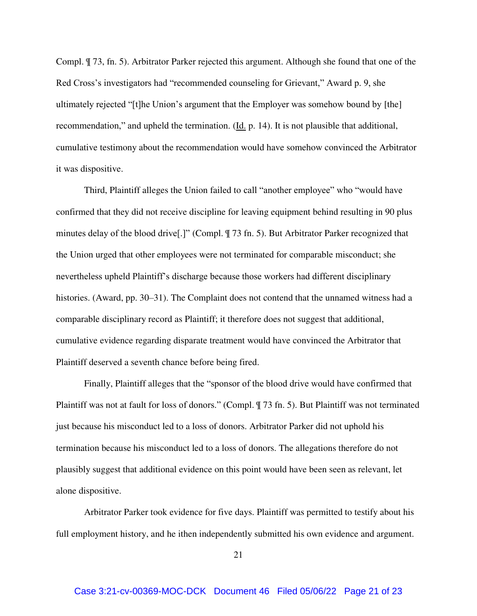Compl. ¶ 73, fn. 5). Arbitrator Parker rejected this argument. Although she found that one of the Red Cross's investigators had "recommended counseling for Grievant," Award p. 9, she ultimately rejected "[t]he Union's argument that the Employer was somehow bound by [the] recommendation," and upheld the termination.  $(\underline{Id}$ , p. 14). It is not plausible that additional, cumulative testimony about the recommendation would have somehow convinced the Arbitrator it was dispositive.

Third, Plaintiff alleges the Union failed to call "another employee" who "would have confirmed that they did not receive discipline for leaving equipment behind resulting in 90 plus minutes delay of the blood drive[.]" (Compl. ¶ 73 fn. 5). But Arbitrator Parker recognized that the Union urged that other employees were not terminated for comparable misconduct; she nevertheless upheld Plaintiff's discharge because those workers had different disciplinary histories. (Award, pp. 30–31). The Complaint does not contend that the unnamed witness had a comparable disciplinary record as Plaintiff; it therefore does not suggest that additional, cumulative evidence regarding disparate treatment would have convinced the Arbitrator that Plaintiff deserved a seventh chance before being fired.

Finally, Plaintiff alleges that the "sponsor of the blood drive would have confirmed that Plaintiff was not at fault for loss of donors." (Compl. ¶ 73 fn. 5). But Plaintiff was not terminated just because his misconduct led to a loss of donors. Arbitrator Parker did not uphold his termination because his misconduct led to a loss of donors. The allegations therefore do not plausibly suggest that additional evidence on this point would have been seen as relevant, let alone dispositive.

Arbitrator Parker took evidence for five days. Plaintiff was permitted to testify about his full employment history, and he ithen independently submitted his own evidence and argument.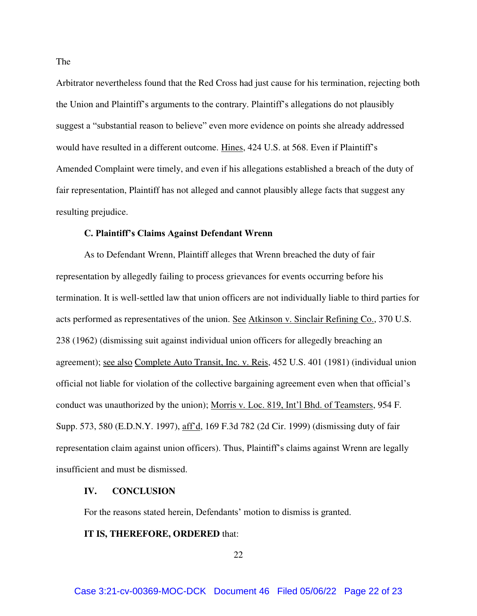Arbitrator nevertheless found that the Red Cross had just cause for his termination, rejecting both the Union and Plaintiff's arguments to the contrary. Plaintiff's allegations do not plausibly suggest a "substantial reason to believe" even more evidence on points she already addressed would have resulted in a different outcome. Hines, 424 U.S. at 568. Even if Plaintiff's Amended Complaint were timely, and even if his allegations established a breach of the duty of fair representation, Plaintiff has not alleged and cannot plausibly allege facts that suggest any resulting prejudice.

#### **C. Plaintiff's Claims Against Defendant Wrenn**

As to Defendant Wrenn, Plaintiff alleges that Wrenn breached the duty of fair representation by allegedly failing to process grievances for events occurring before his termination. It is well-settled law that union officers are not individually liable to third parties for acts performed as representatives of the union. See Atkinson v. Sinclair Refining Co., 370 U.S. 238 (1962) (dismissing suit against individual union officers for allegedly breaching an agreement); see also Complete Auto Transit, Inc. v. Reis, 452 U.S. 401 (1981) (individual union official not liable for violation of the collective bargaining agreement even when that official's conduct was unauthorized by the union); Morris v. Loc. 819, Int'l Bhd. of Teamsters, 954 F. Supp. 573, 580 (E.D.N.Y. 1997), aff'd, 169 F.3d 782 (2d Cir. 1999) (dismissing duty of fair representation claim against union officers). Thus, Plaintiff's claims against Wrenn are legally insufficient and must be dismissed.

#### **IV. CONCLUSION**

For the reasons stated herein, Defendants' motion to dismiss is granted.

#### **IT IS, THEREFORE, ORDERED** that: